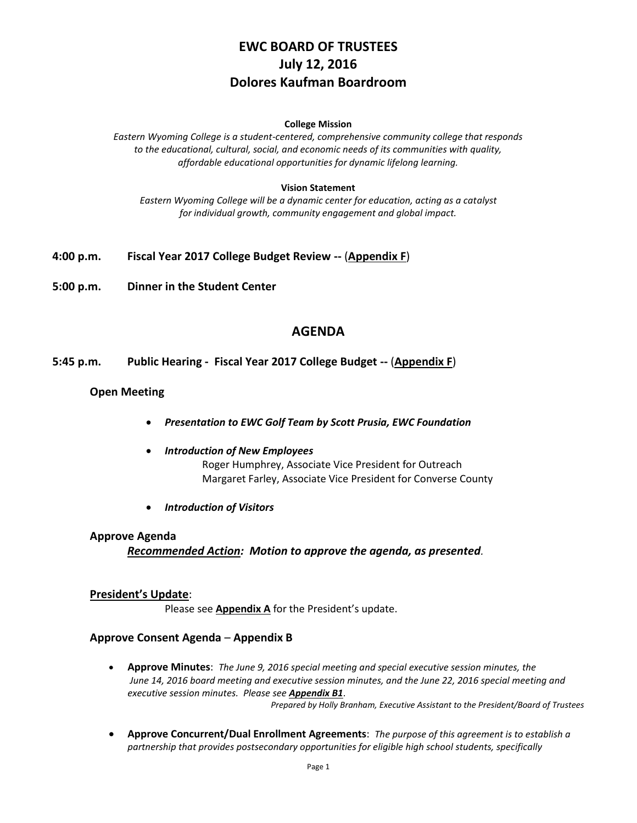# **EWC BOARD OF TRUSTEES July 12, 2016 Dolores Kaufman Boardroom**

#### **College Mission**

*Eastern Wyoming College is a student-centered, comprehensive community college that responds to the educational, cultural, social, and economic needs of its communities with quality, affordable educational opportunities for dynamic lifelong learning.*

#### **Vision Statement**

*Eastern Wyoming College will be a dynamic center for education, acting as a catalyst for individual growth, community engagement and global impact.*

- **4:00 p.m. Fiscal Year 2017 College Budget Review --** (**Appendix F**)
- **5:00 p.m. Dinner in the Student Center**

# **AGENDA**

**5:45 p.m. Public Hearing - Fiscal Year 2017 College Budget --** (**Appendix F**)

#### **Open Meeting**

- *Presentation to EWC Golf Team by Scott Prusia, EWC Foundation*
- *Introduction of New Employees* Roger Humphrey, Associate Vice President for Outreach Margaret Farley, Associate Vice President for Converse County
- *Introduction of Visitors*

#### **Approve Agenda**

*Recommended Action: Motion to approve the agenda, as presented.*

### **President's Update**:

Please see **Appendix A** for the President's update.

#### **Approve Consent Agenda** – **Appendix B**

 **Approve Minutes**: *The June 9, 2016 special meeting and special executive session minutes, the June 14, 2016 board meeting and executive session minutes, and the June 22, 2016 special meeting and executive session minutes. Please see Appendix B1*.

*Prepared by Holly Branham, Executive Assistant to the President/Board of Trustees*

 **Approve Concurrent/Dual Enrollment Agreements**: *The purpose of this agreement is to establish a partnership that provides postsecondary opportunities for eligible high school students, specifically*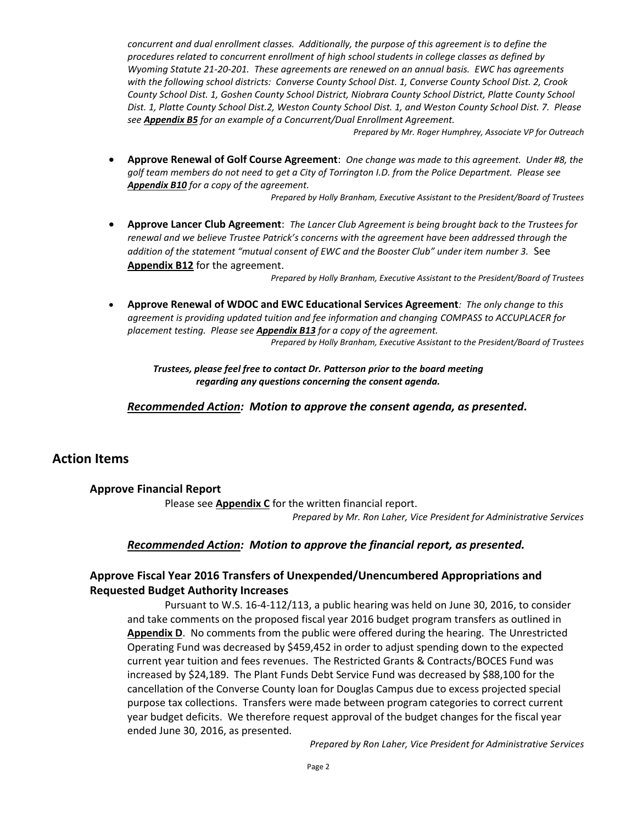*concurrent and dual enrollment classes. Additionally, the purpose of this agreement is to define the procedures related to concurrent enrollment of high school students in college classes as defined by Wyoming Statute 21-20-201. These agreements are renewed on an annual basis. EWC has agreements with the following school districts: Converse County School Dist. 1, Converse County School Dist. 2, Crook County School Dist. 1, Goshen County School District, Niobrara County School District, Platte County School Dist. 1, Platte County School Dist.2, Weston County School Dist. 1, and Weston County School Dist. 7. Please see Appendix B5 for an example of a Concurrent/Dual Enrollment Agreement.*

*Prepared by Mr. Roger Humphrey, Associate VP for Outreach* 

 **Approve Renewal of Golf Course Agreement**: *One change was made to this agreement. Under #8, the golf team members do not need to get a City of Torrington I.D. from the Police Department. Please see Appendix B10 for a copy of the agreement.*

*Prepared by Holly Branham, Executive Assistant to the President/Board of Trustees*

 **Approve Lancer Club Agreement**: *The Lancer Club Agreement is being brought back to the Trustees for renewal and we believe Trustee Patrick's concerns with the agreement have been addressed through the*  addition of the statement "mutual consent of EWC and the Booster Club" under item number 3. See **Appendix B12** for the agreement.

*Prepared by Holly Branham, Executive Assistant to the President/Board of Trustees*

 **Approve Renewal of WDOC and EWC Educational Services Agreement***: The only change to this agreement is providing updated tuition and fee information and changing COMPASS to ACCUPLACER for placement testing. Please see Appendix B13 for a copy of the agreement.*

*Prepared by Holly Branham, Executive Assistant to the President/Board of Trustees*

*Trustees, please feel free to contact Dr. Patterson prior to the board meeting regarding any questions concerning the consent agenda.*

*Recommended Action: Motion to approve the consent agenda, as presented.*

# **Action Items**

#### **Approve Financial Report**

Please see **Appendix C** for the written financial report. *Prepared by Mr. Ron Laher, Vice President for Administrative Services*

#### *Recommended Action: Motion to approve the financial report, as presented.*

### **Approve Fiscal Year 2016 Transfers of Unexpended/Unencumbered Appropriations and Requested Budget Authority Increases**

Pursuant to W.S. 16-4-112/113, a public hearing was held on June 30, 2016, to consider and take comments on the proposed fiscal year 2016 budget program transfers as outlined in **Appendix D**. No comments from the public were offered during the hearing. The Unrestricted Operating Fund was decreased by \$459,452 in order to adjust spending down to the expected current year tuition and fees revenues. The Restricted Grants & Contracts/BOCES Fund was increased by \$24,189. The Plant Funds Debt Service Fund was decreased by \$88,100 for the cancellation of the Converse County loan for Douglas Campus due to excess projected special purpose tax collections. Transfers were made between program categories to correct current year budget deficits. We therefore request approval of the budget changes for the fiscal year ended June 30, 2016, as presented.

*Prepared by Ron Laher, Vice President for Administrative Services*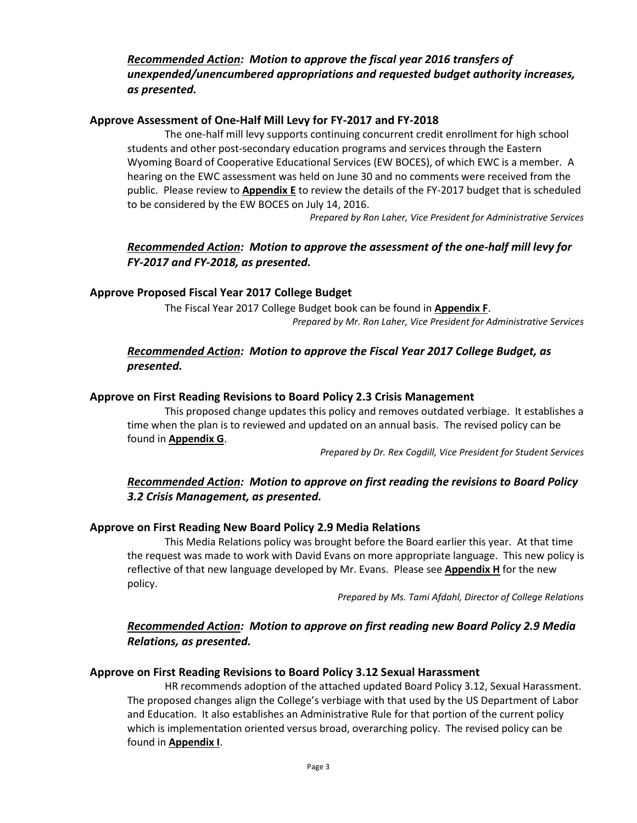# *Recommended Action: Motion to approve the fiscal year 2016 transfers of unexpended/unencumbered appropriations and requested budget authority increases, as presented.*

# **Approve Assessment of One-Half Mill Levy for FY-2017 and FY-2018**

The one-half mill levy supports continuing concurrent credit enrollment for high school students and other post-secondary education programs and services through the Eastern Wyoming Board of Cooperative Educational Services (EW BOCES), of which EWC is a member. A hearing on the EWC assessment was held on June 30 and no comments were received from the public. Please review to **Appendix E** to review the details of the FY-2017 budget that is scheduled to be considered by the EW BOCES on July 14, 2016.

*Prepared by Ron Laher, Vice President for Administrative Services*

# *Recommended Action: Motion to approve the assessment of the one-half mill levy for FY-2017 and FY-2018, as presented.*

### **Approve Proposed Fiscal Year 2017 College Budget**

The Fiscal Year 2017 College Budget book can be found in **Appendix F**. *Prepared by Mr. Ron Laher, Vice President for Administrative Services*

# *Recommended Action: Motion to approve the Fiscal Year 2017 College Budget, as presented.*

### **Approve on First Reading Revisions to Board Policy 2.3 Crisis Management**

This proposed change updates this policy and removes outdated verbiage. It establishes a time when the plan is to reviewed and updated on an annual basis. The revised policy can be found in **Appendix G**.

*Prepared by Dr. Rex Cogdill, Vice President for Student Services*

# *Recommended Action: Motion to approve on first reading the revisions to Board Policy 3.2 Crisis Management, as presented.*

### **Approve on First Reading New Board Policy 2.9 Media Relations**

This Media Relations policy was brought before the Board earlier this year. At that time the request was made to work with David Evans on more appropriate language. This new policy is reflective of that new language developed by Mr. Evans. Please see **Appendix H** for the new policy.

*Prepared by Ms. Tami Afdahl, Director of College Relations*

# *Recommended Action: Motion to approve on first reading new Board Policy 2.9 Media Relations, as presented.*

### **Approve on First Reading Revisions to Board Policy 3.12 Sexual Harassment**

HR recommends adoption of the attached updated Board Policy 3.12, Sexual Harassment. The proposed changes align the College's verbiage with that used by the US Department of Labor and Education. It also establishes an Administrative Rule for that portion of the current policy which is implementation oriented versus broad, overarching policy. The revised policy can be found in **Appendix I**.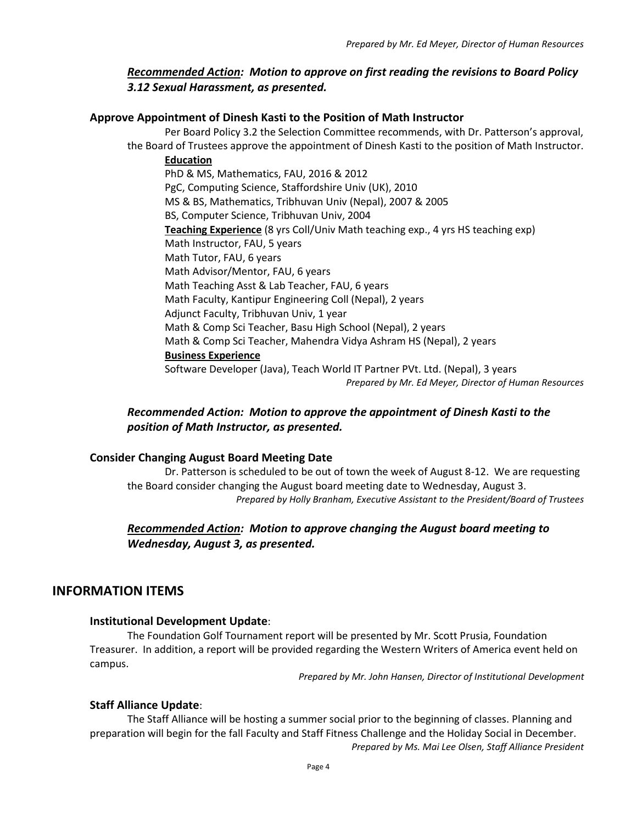# *Recommended Action: Motion to approve on first reading the revisions to Board Policy 3.12 Sexual Harassment, as presented.*

### **Approve Appointment of Dinesh Kasti to the Position of Math Instructor**

Per Board Policy 3.2 the Selection Committee recommends, with Dr. Patterson's approval, the Board of Trustees approve the appointment of Dinesh Kasti to the position of Math Instructor.

**Education** PhD & MS, Mathematics, FAU, 2016 & 2012 PgC, Computing Science, Staffordshire Univ (UK), 2010 MS & BS, Mathematics, Tribhuvan Univ (Nepal), 2007 & 2005 BS, Computer Science, Tribhuvan Univ, 2004 **Teaching Experience** (8 yrs Coll/Univ Math teaching exp., 4 yrs HS teaching exp) Math Instructor, FAU, 5 years Math Tutor, FAU, 6 years Math Advisor/Mentor, FAU, 6 years Math Teaching Asst & Lab Teacher, FAU, 6 years Math Faculty, Kantipur Engineering Coll (Nepal), 2 years Adjunct Faculty, Tribhuvan Univ, 1 year Math & Comp Sci Teacher, Basu High School (Nepal), 2 years Math & Comp Sci Teacher, Mahendra Vidya Ashram HS (Nepal), 2 years **Business Experience** Software Developer (Java), Teach World IT Partner PVt. Ltd. (Nepal), 3 years *Prepared by Mr. Ed Meyer, Director of Human Resources*

# *Recommended Action: Motion to approve the appointment of Dinesh Kasti to the position of Math Instructor, as presented.*

### **Consider Changing August Board Meeting Date**

Dr. Patterson is scheduled to be out of town the week of August 8-12. We are requesting the Board consider changing the August board meeting date to Wednesday, August 3. *Prepared by Holly Branham, Executive Assistant to the President/Board of Trustees*

# *Recommended Action: Motion to approve changing the August board meeting to Wednesday, August 3, as presented.*

# **INFORMATION ITEMS**

#### **Institutional Development Update**:

The Foundation Golf Tournament report will be presented by Mr. Scott Prusia, Foundation Treasurer. In addition, a report will be provided regarding the Western Writers of America event held on campus.

*Prepared by Mr. John Hansen, Director of Institutional Development*

#### **Staff Alliance Update**:

The Staff Alliance will be hosting a summer social prior to the beginning of classes. Planning and preparation will begin for the fall Faculty and Staff Fitness Challenge and the Holiday Social in December. *Prepared by Ms. Mai Lee Olsen, Staff Alliance President*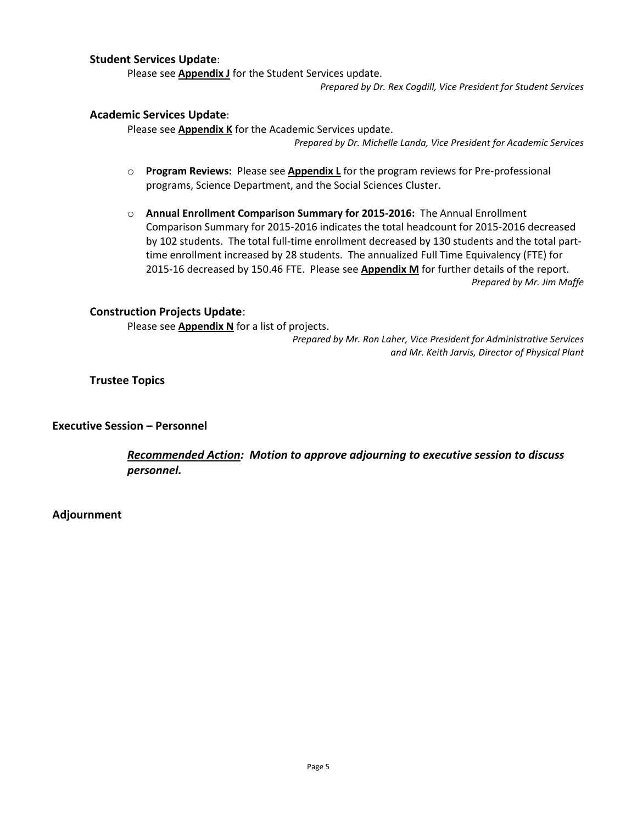#### **Student Services Update**:

Please see **Appendix J** for the Student Services update.

*Prepared by Dr. Rex Cogdill, Vice President for Student Services*

#### **Academic Services Update**:

Please see **Appendix K** for the Academic Services update. *Prepared by Dr. Michelle Landa, Vice President for Academic Services*

- o **Program Reviews:** Please see **Appendix L** for the program reviews for Pre-professional programs, Science Department, and the Social Sciences Cluster.
- o **Annual Enrollment Comparison Summary for 2015-2016:** The Annual Enrollment Comparison Summary for 2015-2016 indicates the total headcount for 2015-2016 decreased by 102 students. The total full-time enrollment decreased by 130 students and the total parttime enrollment increased by 28 students. The annualized Full Time Equivalency (FTE) for 2015-16 decreased by 150.46 FTE. Please see **Appendix M** for further details of the report. *Prepared by Mr. Jim Maffe*

#### **Construction Projects Update**:

Please see **Appendix N** for a list of projects.

*Prepared by Mr. Ron Laher, Vice President for Administrative Services and Mr. Keith Jarvis, Director of Physical Plant*

**Trustee Topics**

**Executive Session – Personnel**

*Recommended Action: Motion to approve adjourning to executive session to discuss personnel.*

**Adjournment**